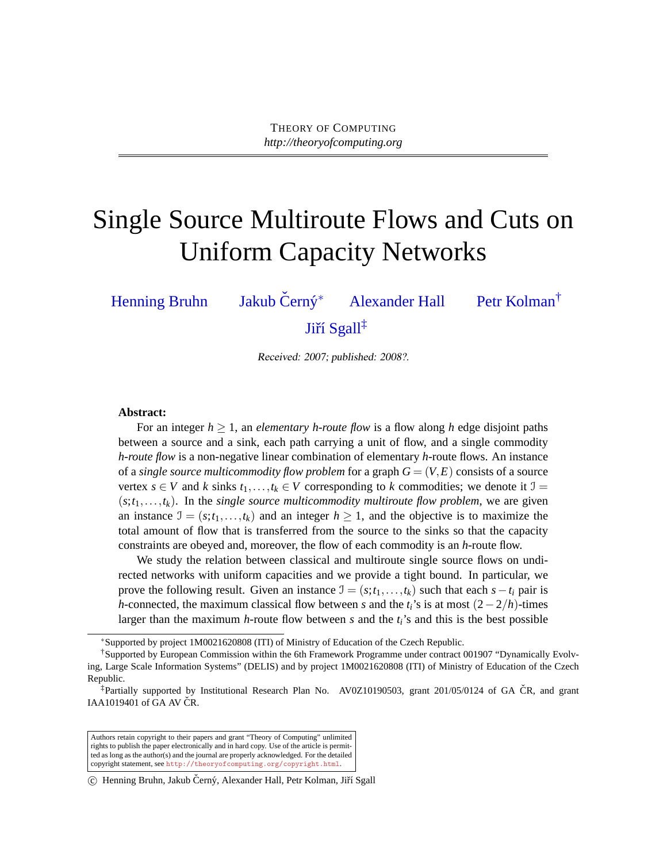# Single Source Multiroute Flows and Cuts on Uniform Capacity Networks

[Henning Bruhn](#page-18-0) [Jakub](#page-18-1) Černý<sup>\*</sup> <sup>∗</sup> [Alexander Hall](#page-18-2) [Petr Kolman](#page-18-3)† Jiří Sgall<sup>‡</sup>

Received: 2007; published: 2008?.

#### **Abstract:**

For an integer  $h > 1$ , an *elementary h-route flow* is a flow along h edge disjoint paths between a source and a sink, each path carrying a unit of flow, and a single commodity *h-route flow* is a non-negative linear combination of elementary *h*-route flows. An instance of a *single source multicommodity flow problem* for a graph  $G = (V, E)$  consists of a source vertex  $s \in V$  and  $k$  sinks  $t_1, \ldots, t_k \in V$  corresponding to  $k$  commodities; we denote it  $\mathcal{I} =$  $(s; t_1, \ldots, t_k)$ . In the *single source multicommodity multiroute flow problem*, we are given an instance  $\mathcal{I} = (s; t_1, \ldots, t_k)$  and an integer  $h \geq 1$ , and the objective is to maximize the total amount of flow that is transferred from the source to the sinks so that the capacity constraints are obeyed and, moreover, the flow of each commodity is an *h*-route flow.

We study the relation between classical and multiroute single source flows on undirected networks with uniform capacities and we provide a tight bound. In particular, we prove the following result. Given an instance  $\mathcal{I} = (s; t_1, \ldots, t_k)$  such that each  $s - t_i$  pair is *h*-connected, the maximum classical flow between *s* and the  $t_i$ 's is at most  $(2-2/h)$ -times larger than the maximum *h*-route flow between *s* and the *ti*'s and this is the best possible

<sup>∗</sup>Supported by project 1M0021620808 (ITI) of Ministry of Education of the Czech Republic.

<sup>†</sup>Supported by European Commission within the 6th Framework Programme under contract 001907 "Dynamically Evolving, Large Scale Information Systems" (DELIS) and by project 1M0021620808 (ITI) of Ministry of Education of the Czech Republic.

 $*$ Partially supported by Institutional Research Plan No. AV0Z10190503, grant 201/05/0124 of GA CR, and grant IAA1019401 of GA AV  $CR$ .

Authors retain copyright to their papers and grant "Theory of Computing" unlimited rights to publish the paper electronically and in hard copy. Use of the article is permitted as long as the author(s) and the journal are properly acknowledged. For the detailed copyright statement, see <http://theoryofcomputing.org/copyright.html>.

<sup>(</sup>c) Henning Bruhn, Jakub Černý, Alexander Hall, Petr Kolman, Jiří Sgall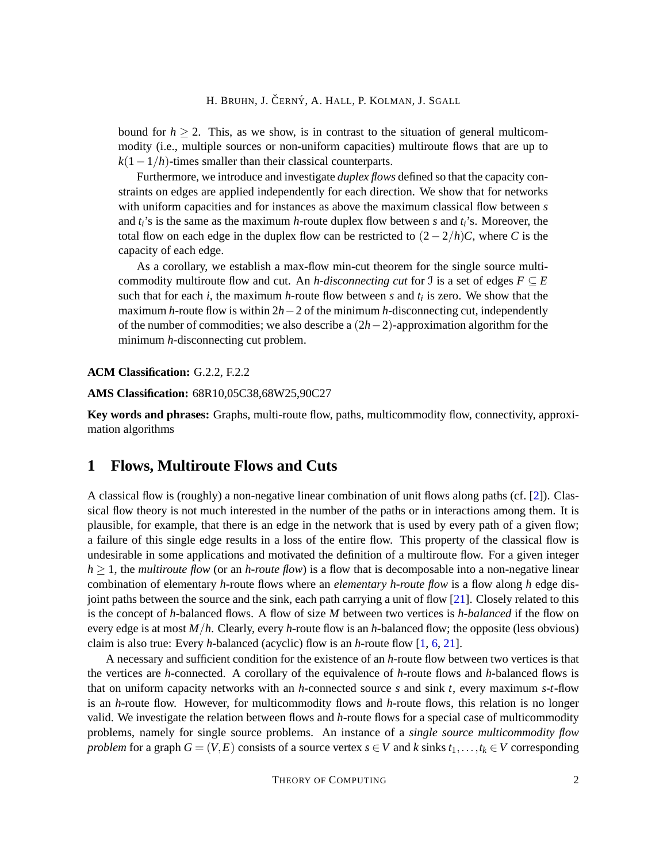bound for  $h \ge 2$ . This, as we show, is in contrast to the situation of general multicommodity (i.e., multiple sources or non-uniform capacities) multiroute flows that are up to  $k(1-1/h)$ -times smaller than their classical counterparts.

Furthermore, we introduce and investigate *duplex flows* defined so that the capacity constraints on edges are applied independently for each direction. We show that for networks with uniform capacities and for instances as above the maximum classical flow between *s* and *ti*'s is the same as the maximum *h*-route duplex flow between *s* and *ti*'s. Moreover, the total flow on each edge in the duplex flow can be restricted to  $(2-2/h)C$ , where *C* is the capacity of each edge.

As a corollary, we establish a max-flow min-cut theorem for the single source multicommodity multiroute flow and cut. An *h*-disconnecting cut for J is a set of edges  $F \subseteq E$ such that for each *i*, the maximum *h*-route flow between *s* and *t<sup>i</sup>* is zero. We show that the maximum *h*-route flow is within 2*h*−2 of the minimum *h*-disconnecting cut, independently of the number of commodities; we also describe a (2*h*−2)-approximation algorithm for the minimum *h*-disconnecting cut problem.

**ACM Classification:** G.2.2, F.2.2

**AMS Classification:** 68R10,05C38,68W25,90C27

**Key words and phrases:** Graphs, multi-route flow, paths, multicommodity flow, connectivity, approximation algorithms

# <span id="page-1-0"></span>**1 Flows, Multiroute Flows and Cuts**

A classical flow is (roughly) a non-negative linear combination of unit flows along paths (cf. [\[2\]](#page-15-0)). Classical flow theory is not much interested in the number of the paths or in interactions among them. It is plausible, for example, that there is an edge in the network that is used by every path of a given flow; a failure of this single edge results in a loss of the entire flow. This property of the classical flow is undesirable in some applications and motivated the definition of a multiroute flow. For a given integer  $h \geq 1$ , the *multiroute flow* (or an *h-route flow*) is a flow that is decomposable into a non-negative linear combination of elementary *h*-route flows where an *elementary h-route flow* is a flow along *h* edge disjoint paths between the source and the sink, each path carrying a unit of flow [\[21\]](#page-17-0). Closely related to this is the concept of *h*-balanced flows. A flow of size *M* between two vertices is *h-balanced* if the flow on every edge is at most *M*/*h*. Clearly, every *h*-route flow is an *h*-balanced flow; the opposite (less obvious) claim is also true: Every *h*-balanced (acyclic) flow is an *h*-route flow [\[1,](#page-15-1) [6,](#page-16-0) [21\]](#page-17-0).

A necessary and sufficient condition for the existence of an *h*-route flow between two vertices is that the vertices are *h*-connected. A corollary of the equivalence of *h*-route flows and *h*-balanced flows is that on uniform capacity networks with an *h*-connected source *s* and sink *t*, every maximum *s*-*t*-flow is an *h*-route flow. However, for multicommodity flows and *h*-route flows, this relation is no longer valid. We investigate the relation between flows and *h*-route flows for a special case of multicommodity problems, namely for single source problems. An instance of a *single source multicommodity flow problem* for a graph  $G = (V, E)$  consists of a source vertex  $s \in V$  and  $k$  sinks  $t_1, \ldots, t_k \in V$  corresponding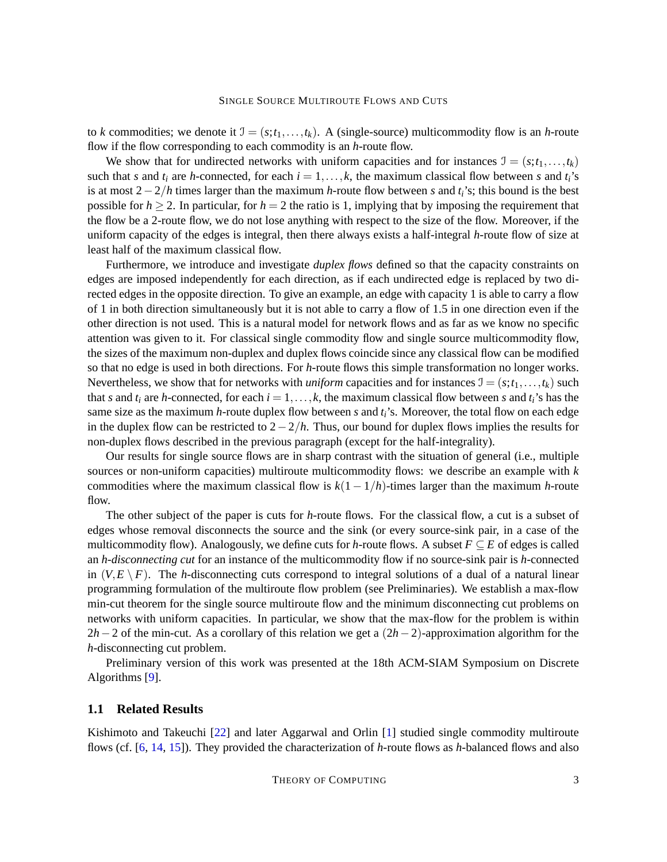to *k* commodities; we denote it  $\mathcal{I} = (s; t_1, \ldots, t_k)$ . A (single-source) multicommodity flow is an *h*-route flow if the flow corresponding to each commodity is an *h*-route flow.

We show that for undirected networks with uniform capacities and for instances  $\mathcal{I} = (s; t_1, \ldots, t_k)$ such that *s* and  $t_i$  are *h*-connected, for each  $i = 1, \ldots, k$ , the maximum classical flow between *s* and  $t_i$ 's is at most 2−2/*h* times larger than the maximum *h*-route flow between *s* and *ti*'s; this bound is the best possible for  $h > 2$ . In particular, for  $h = 2$  the ratio is 1, implying that by imposing the requirement that the flow be a 2-route flow, we do not lose anything with respect to the size of the flow. Moreover, if the uniform capacity of the edges is integral, then there always exists a half-integral *h*-route flow of size at least half of the maximum classical flow.

Furthermore, we introduce and investigate *duplex flows* defined so that the capacity constraints on edges are imposed independently for each direction, as if each undirected edge is replaced by two directed edges in the opposite direction. To give an example, an edge with capacity 1 is able to carry a flow of 1 in both direction simultaneously but it is not able to carry a flow of 1.5 in one direction even if the other direction is not used. This is a natural model for network flows and as far as we know no specific attention was given to it. For classical single commodity flow and single source multicommodity flow, the sizes of the maximum non-duplex and duplex flows coincide since any classical flow can be modified so that no edge is used in both directions. For *h*-route flows this simple transformation no longer works. Nevertheless, we show that for networks with *uniform* capacities and for instances  $\mathcal{I} = (s; t_1, \ldots, t_k)$  such that *s* and  $t_i$  are *h*-connected, for each  $i = 1, \ldots, k$ , the maximum classical flow between *s* and  $t_i$ 's has the same size as the maximum *h*-route duplex flow between *s* and *ti*'s. Moreover, the total flow on each edge in the duplex flow can be restricted to 2−2/*h*. Thus, our bound for duplex flows implies the results for non-duplex flows described in the previous paragraph (except for the half-integrality).

Our results for single source flows are in sharp contrast with the situation of general (i.e., multiple sources or non-uniform capacities) multiroute multicommodity flows: we describe an example with *k* commodities where the maximum classical flow is  $k(1 - 1/h)$ -times larger than the maximum *h*-route flow.

The other subject of the paper is cuts for *h*-route flows. For the classical flow, a cut is a subset of edges whose removal disconnects the source and the sink (or every source-sink pair, in a case of the multicommodity flow). Analogously, we define cuts for *h*-route flows. A subset  $F \subseteq E$  of edges is called an *h-disconnecting cut* for an instance of the multicommodity flow if no source-sink pair is *h*-connected in  $(V, E \setminus F)$ . The *h*-disconnecting cuts correspond to integral solutions of a dual of a natural linear programming formulation of the multiroute flow problem (see Preliminaries). We establish a max-flow min-cut theorem for the single source multiroute flow and the minimum disconnecting cut problems on networks with uniform capacities. In particular, we show that the max-flow for the problem is within 2*h*−2 of the min-cut. As a corollary of this relation we get a (2*h*−2)-approximation algorithm for the *h*-disconnecting cut problem.

Preliminary version of this work was presented at the 18th ACM-SIAM Symposium on Discrete Algorithms [\[9\]](#page-16-1).

## <span id="page-2-0"></span>**1.1 Related Results**

Kishimoto and Takeuchi [\[22\]](#page-17-1) and later Aggarwal and Orlin [\[1\]](#page-15-1) studied single commodity multiroute flows (cf. [\[6,](#page-16-0) [14,](#page-16-2) [15\]](#page-16-3)). They provided the characterization of *h*-route flows as *h*-balanced flows and also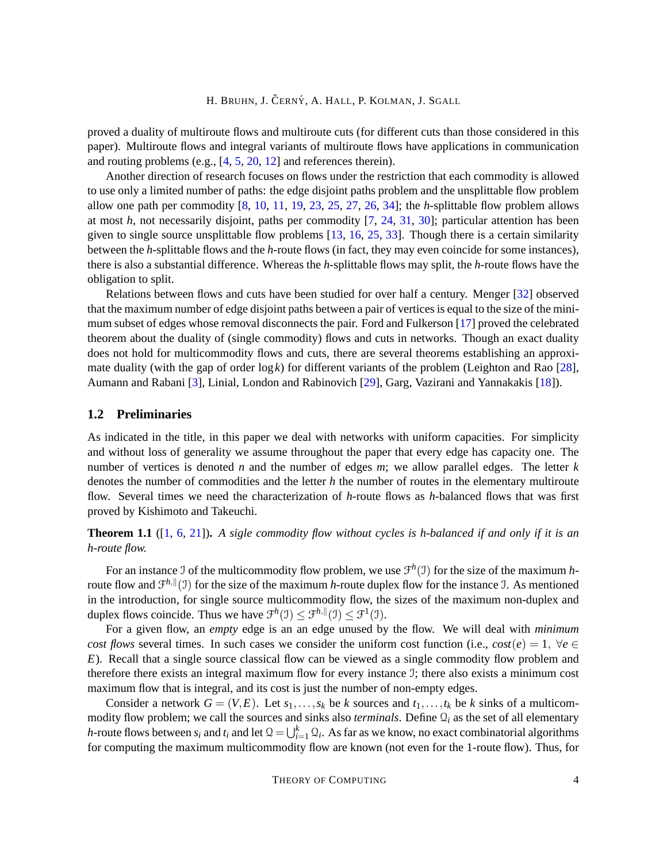proved a duality of multiroute flows and multiroute cuts (for different cuts than those considered in this paper). Multiroute flows and integral variants of multiroute flows have applications in communication and routing problems (e.g., [\[4,](#page-16-4) [5,](#page-16-5) [20,](#page-17-2) [12\]](#page-16-6) and references therein).

Another direction of research focuses on flows under the restriction that each commodity is allowed to use only a limited number of paths: the edge disjoint paths problem and the unsplittable flow problem allow one path per commodity [\[8,](#page-16-7) [10,](#page-16-8) [11,](#page-16-9) [19,](#page-17-3) [23,](#page-17-4) [25,](#page-17-5) [27,](#page-17-6) [26,](#page-17-7) [34\]](#page-17-8); the *h*-splittable flow problem allows at most *h*, not necessarily disjoint, paths per commodity [\[7,](#page-16-10) [24,](#page-17-9) [31,](#page-17-10) [30\]](#page-17-11); particular attention has been given to single source unsplittable flow problems [\[13,](#page-16-11) [16,](#page-16-12) [25,](#page-17-5) [33\]](#page-17-12). Though there is a certain similarity between the *h*-splittable flows and the *h*-route flows (in fact, they may even coincide for some instances), there is also a substantial difference. Whereas the *h*-splittable flows may split, the *h*-route flows have the obligation to split.

Relations between flows and cuts have been studied for over half a century. Menger [\[32\]](#page-17-13) observed that the maximum number of edge disjoint paths between a pair of vertices is equal to the size of the minimum subset of edges whose removal disconnects the pair. Ford and Fulkerson [\[17\]](#page-16-13) proved the celebrated theorem about the duality of (single commodity) flows and cuts in networks. Though an exact duality does not hold for multicommodity flows and cuts, there are several theorems establishing an approximate duality (with the gap of order log*k*) for different variants of the problem (Leighton and Rao [\[28\]](#page-17-14), Aumann and Rabani [\[3\]](#page-16-14), Linial, London and Rabinovich [\[29\]](#page-17-15), Garg, Vazirani and Yannakakis [\[18\]](#page-16-15)).

## **1.2 Preliminaries**

As indicated in the title, in this paper we deal with networks with uniform capacities. For simplicity and without loss of generality we assume throughout the paper that every edge has capacity one. The number of vertices is denoted *n* and the number of edges *m*; we allow parallel edges. The letter *k* denotes the number of commodities and the letter *h* the number of routes in the elementary multiroute flow. Several times we need the characterization of *h*-route flows as *h*-balanced flows that was first proved by Kishimoto and Takeuchi.

<span id="page-3-0"></span>**Theorem 1.1** ([\[1,](#page-15-1) [6,](#page-16-0) [21\]](#page-17-0))**.** *A sigle commodity flow without cycles is h-balanced if and only if it is an h-route flow.*

For an instance J of the multicommodity flow problem, we use  $\mathcal{F}^h(\mathcal{I})$  for the size of the maximum *h*route flow and  $\mathcal{F}^{h, \|}(J)$  for the size of the maximum *h*-route duplex flow for the instance J. As mentioned in the introduction, for single source multicommodity flow, the sizes of the maximum non-duplex and duplex flows coincide. Thus we have  $\mathcal{F}^h(\mathcal{I}) \leq \mathcal{F}^{h,\parallel}(\mathcal{I}) \leq \mathcal{F}^1(\mathcal{I})$ .

For a given flow, an *empty* edge is an an edge unused by the flow. We will deal with *minimum cost flows* several times. In such cases we consider the uniform cost function (i.e.,  $cost(e) = 1$ ,  $\forall e \in$ *E*). Recall that a single source classical flow can be viewed as a single commodity flow problem and therefore there exists an integral maximum flow for every instance I; there also exists a minimum cost maximum flow that is integral, and its cost is just the number of non-empty edges.

Consider a network  $G = (V, E)$ . Let  $s_1, \ldots, s_k$  be *k* sources and  $t_1, \ldots, t_k$  be *k* sinks of a multicommodity flow problem; we call the sources and sinks also *terminals*. Define  $\mathcal{Q}_i$  as the set of all elementary *h*-route flows between  $s_i$  and  $t_i$  and let  $\mathcal{Q} = \bigcup_{i=1}^k \mathcal{Q}_i$ . As far as we know, no exact combinatorial algorithms for computing the maximum multicommodity flow are known (not even for the 1-route flow). Thus, for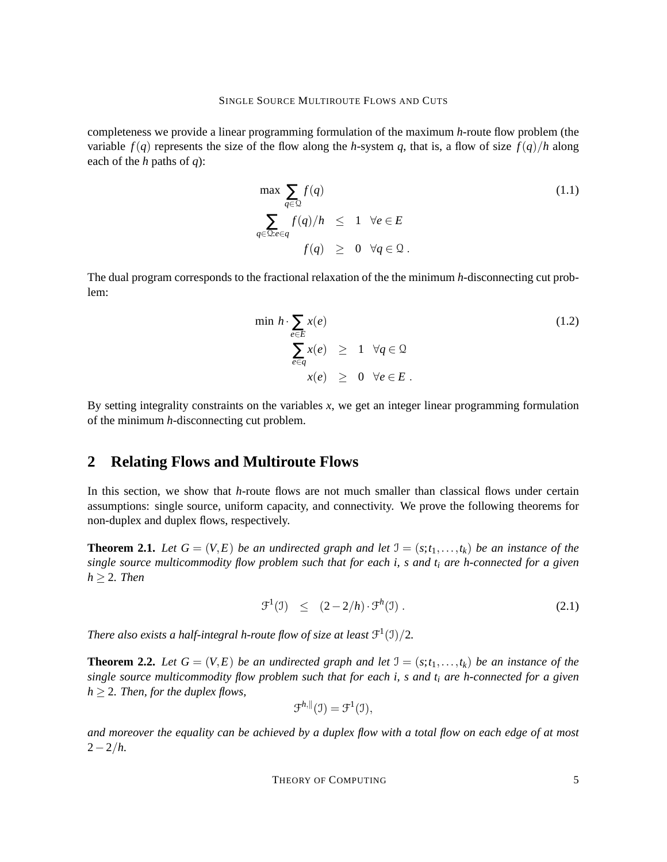completeness we provide a linear programming formulation of the maximum *h*-route flow problem (the variable  $f(q)$  represents the size of the flow along the *h*-system *q*, that is, a flow of size  $f(q)/h$  along each of the *h* paths of *q*):

$$
\max \sum_{q \in \mathcal{Q}} f(q) \tag{1.1}
$$
\n
$$
\sum_{q \in \mathcal{Q}: e \in q} f(q)/h \leq 1 \quad \forall e \in E
$$
\n
$$
f(q) \geq 0 \quad \forall q \in \mathcal{Q}.
$$

The dual program corresponds to the fractional relaxation of the the minimum *h*-disconnecting cut problem:

$$
\min h \cdot \sum_{e \in E} x(e) \qquad (1.2)
$$
\n
$$
\sum_{e \in q} x(e) \ge 1 \quad \forall q \in \mathcal{Q}
$$
\n
$$
x(e) \ge 0 \quad \forall e \in E.
$$

By setting integrality constraints on the variables *x*, we get an integer linear programming formulation of the minimum *h*-disconnecting cut problem.

# **2 Relating Flows and Multiroute Flows**

In this section, we show that *h*-route flows are not much smaller than classical flows under certain assumptions: single source, uniform capacity, and connectivity. We prove the following theorems for non-duplex and duplex flows, respectively.

<span id="page-4-1"></span>**Theorem 2.1.** Let  $G = (V, E)$  be an undirected graph and let  $J = (s, t_1, \ldots, t_k)$  be an instance of the *single source multicommodity flow problem such that for each i, s and t<sup>i</sup> are h-connected for a given h* ≥ 2*. Then*

$$
\mathcal{F}^1(\mathcal{I}) \leq (2-2/h) \cdot \mathcal{F}^h(\mathcal{I}). \tag{2.1}
$$

*There also exists a half-integral h-route flow of size at least*  $\mathcal{F}^1(\mathfrak{I})/2$ *.* 

<span id="page-4-0"></span>**Theorem 2.2.** Let  $G = (V, E)$  be an undirected graph and let  $J = (s; t_1, \ldots, t_k)$  be an instance of the *single source multicommodity flow problem such that for each i, s and t<sup>i</sup> are h-connected for a given*  $h \geq 2$ *. Then, for the duplex flows,* 

$$
\mathcal{F}^{h,\parallel}(\mathfrak{I})=\mathcal{F}^1(\mathfrak{I}),
$$

*and moreover the equality can be achieved by a duplex flow with a total flow on each edge of at most* 2−2/*h.*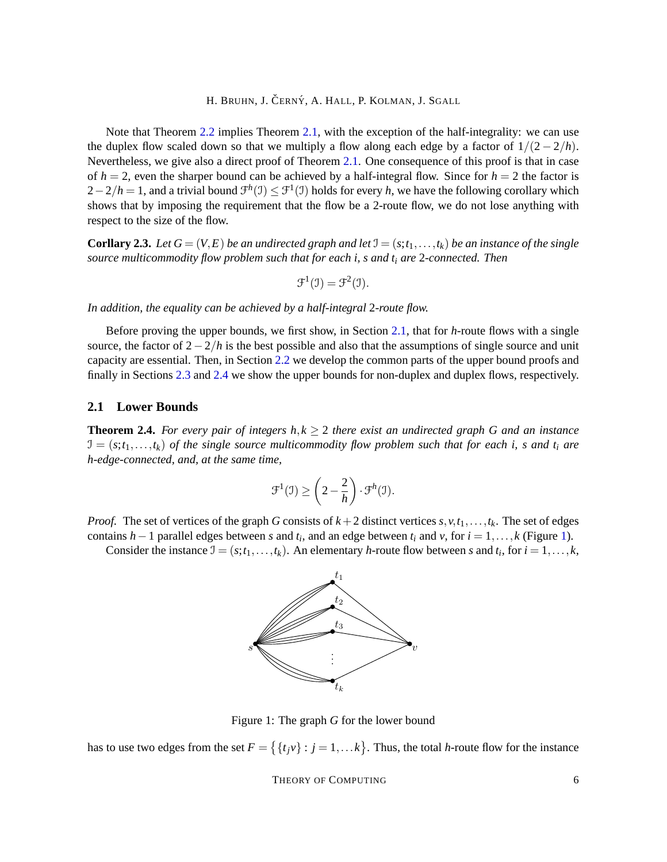Note that Theorem [2.2](#page-4-0) implies Theorem [2.1,](#page-4-1) with the exception of the half-integrality: we can use the duplex flow scaled down so that we multiply a flow along each edge by a factor of  $1/(2 - 2/h)$ . Nevertheless, we give also a direct proof of Theorem [2.1.](#page-4-1) One consequence of this proof is that in case of  $h = 2$ , even the sharper bound can be achieved by a half-integral flow. Since for  $h = 2$  the factor is  $2-2/h = 1$ , and a trivial bound  $\mathcal{F}^h(\mathcal{I}) \leq \mathcal{F}^1(\mathcal{I})$  holds for every *h*, we have the following corollary which shows that by imposing the requirement that the flow be a 2-route flow, we do not lose anything with respect to the size of the flow.

<span id="page-5-2"></span>**Corllary 2.3.** Let  $G = (V, E)$  be an undirected graph and let  $\mathcal{I} = (s; t_1, \ldots, t_k)$  be an instance of the single *source multicommodity flow problem such that for each i, s and t<sup>i</sup> are* 2*-connected. Then*

$$
\mathcal{F}^1(\mathcal{I}) = \mathcal{F}^2(\mathcal{I}).
$$

*In addition, the equality can be achieved by a half-integral* 2*-route flow.*

Before proving the upper bounds, we first show, in Section [2.1,](#page-5-0) that for *h*-route flows with a single source, the factor of 2−2/*h* is the best possible and also that the assumptions of single source and unit capacity are essential. Then, in Section [2.2](#page-7-0) we develop the common parts of the upper bound proofs and finally in Sections [2.3](#page-11-0) and [2.4](#page-12-0) we show the upper bounds for non-duplex and duplex flows, respectively.

#### <span id="page-5-0"></span>**2.1 Lower Bounds**

**Theorem 2.4.** *For every pair of integers h,k*  $\geq$  2 *there exist an undirected graph G and an instance*  $\mathcal{I} = (s; t_1, \ldots, t_k)$  *of the single source multicommodity flow problem such that for each i, s and t<sub>i</sub> are h-edge-connected, and, at the same time,*

$$
\mathcal{F}^1(\mathfrak{I}) \ge \left(2 - \frac{2}{h}\right) \cdot \mathcal{F}^h(\mathfrak{I}).
$$

*Proof.* The set of vertices of the graph *G* consists of  $k+2$  distinct vertices  $s, v, t_1, \ldots, t_k$ . The set of edges contains *h* − 1 parallel edges between *s* and  $t_i$ , and an edge between  $t_i$  and  $v$ , for  $i = 1, ..., k$  (Figure [1\)](#page-5-1).

Consider the instance  $\mathcal{I} = (s; t_1, \ldots, t_k)$ . An elementary *h*-route flow between *s* and  $t_i$ , for  $i = 1, \ldots, k$ ,



<span id="page-5-1"></span>Figure 1: The graph *G* for the lower bound

has to use two edges from the set  $F = \{ \{t_j v\} : j = 1, \dots k \}$ . Thus, the total *h*-route flow for the instance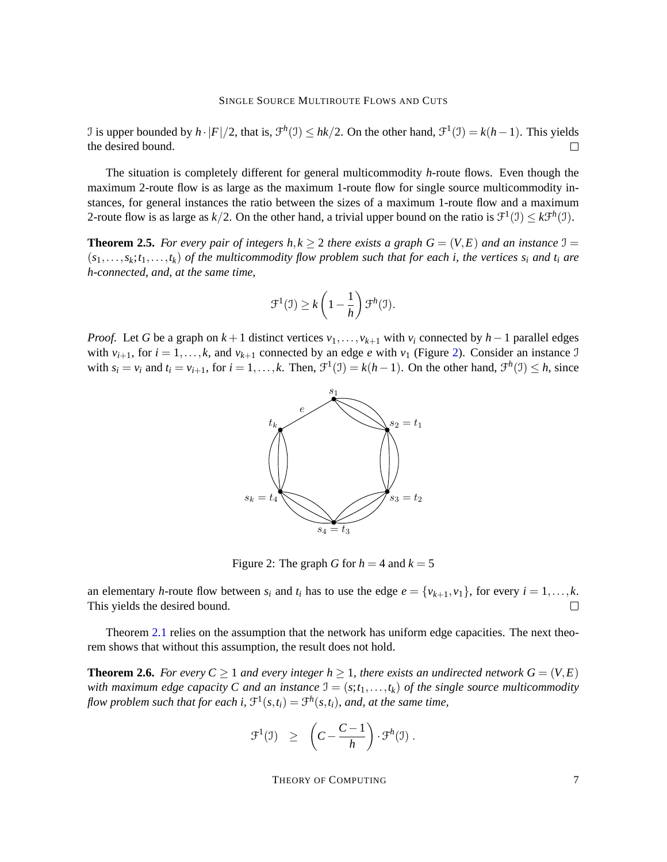I is upper bounded by  $h \cdot |F|/2$ , that is,  $\mathcal{F}^h(\mathcal{I}) \leq hk/2$ . On the other hand,  $\mathcal{F}^1(\mathcal{I}) = k(h-1)$ . This yields the desired bound.  $\Box$ 

The situation is completely different for general multicommodity *h*-route flows. Even though the maximum 2-route flow is as large as the maximum 1-route flow for single source multicommodity instances, for general instances the ratio between the sizes of a maximum 1-route flow and a maximum 2-route flow is as large as  $k/2$ . On the other hand, a trivial upper bound on the ratio is  $\mathcal{F}^1(\mathcal{I}) \leq k \mathcal{F}^h(\mathcal{I})$ .

**Theorem 2.5.** For every pair of integers  $h, k \geq 2$  there exists a graph  $G = (V, E)$  and an instance  $\mathcal{I} =$  $(s_1, \ldots, s_k; t_1, \ldots, t_k)$  of the multicommodity flow problem such that for each i, the vertices  $s_i$  and  $t_i$  are *h-connected, and, at the same time,*

$$
\mathcal{F}^1(\mathfrak{I}) \geq k \left(1 - \frac{1}{h}\right) \mathcal{F}^h(\mathfrak{I}).
$$

*Proof.* Let *G* be a graph on  $k+1$  distinct vertices  $v_1, \ldots, v_{k+1}$  with  $v_i$  connected by  $h-1$  parallel edges with  $v_{i+1}$ , for  $i = 1, ..., k$ , and  $v_{k+1}$  connected by an edge *e* with  $v_1$  (Figure [2\)](#page-6-0). Consider an instance J with  $s_i = v_i$  and  $t_i = v_{i+1}$ , for  $i = 1, ..., k$ . Then,  $\mathcal{F}^1(\mathcal{I}) = k(h-1)$ . On the other hand,  $\mathcal{F}^h(\mathcal{I}) \leq h$ , since



<span id="page-6-0"></span>Figure 2: The graph *G* for  $h = 4$  and  $k = 5$ 

an elementary *h*-route flow between  $s_i$  and  $t_i$  has to use the edge  $e = \{v_{k+1}, v_1\}$ , for every  $i = 1, \ldots, k$ . This yields the desired bound.  $\Box$ 

Theorem [2.1](#page-4-1) relies on the assumption that the network has uniform edge capacities. The next theorem shows that without this assumption, the result does not hold.

**Theorem 2.6.** *For every*  $C \geq 1$  *and every integer*  $h \geq 1$ *, there exists an undirected network*  $G = (V, E)$ *with maximum edge capacity C and an instance*  $J = (s; t_1, \ldots, t_k)$  *of the single source multicommodity* flow problem such that for each i,  $\mathfrak{F}^1(s,t_i) = \mathfrak{F}^h(s,t_i)$ , and, at the same time,

<span id="page-6-1"></span>
$$
\mathcal{F}^1(\mathfrak{I}) \geq \left( C - \frac{C-1}{h} \right) \cdot \mathcal{F}^h(\mathfrak{I}).
$$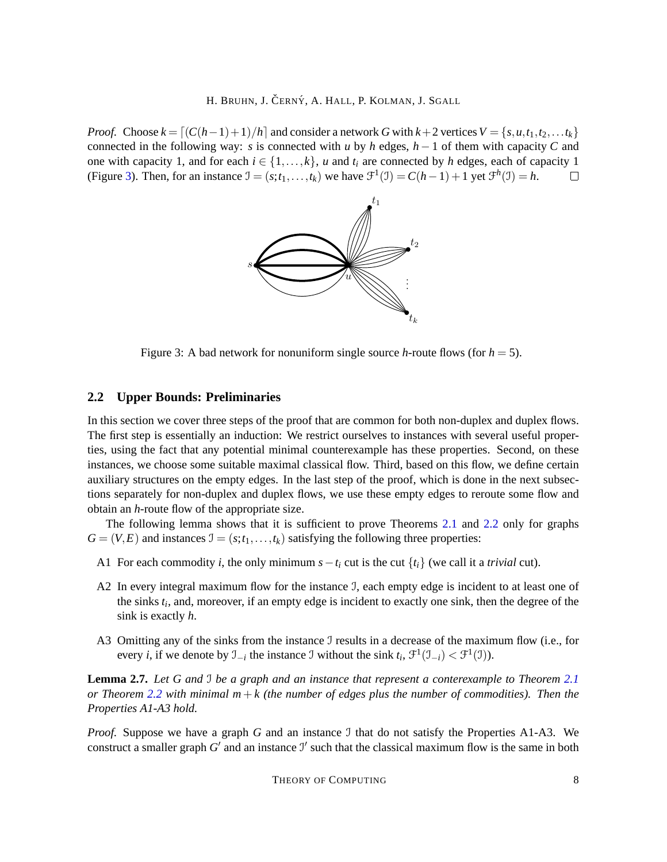*Proof.* Choose  $k = \lfloor (C(h-1)+1)/h \rfloor$  and consider a network *G* with  $k+2$  vertices  $V = \{s, u, t_1, t_2, \ldots t_k\}$ connected in the following way: *s* is connected with *u* by *h* edges, *h* − 1 of them with capacity *C* and one with capacity 1, and for each  $i \in \{1, \ldots, k\}$ , *u* and  $t_i$  are connected by *h* edges, each of capacity 1 (Figure [3\)](#page-7-1). Then, for an instance  $\mathcal{I} = (s; t_1, \ldots, t_k)$  we have  $\mathcal{F}^1(\mathcal{I}) = C(h-1) + 1$  yet  $\mathcal{F}^h(\mathcal{I}) = h$ .  $\Box$ 



<span id="page-7-1"></span>Figure 3: A bad network for nonuniform single source *h*-route flows (for  $h = 5$ ).

## <span id="page-7-0"></span>**2.2 Upper Bounds: Preliminaries**

In this section we cover three steps of the proof that are common for both non-duplex and duplex flows. The first step is essentially an induction: We restrict ourselves to instances with several useful properties, using the fact that any potential minimal counterexample has these properties. Second, on these instances, we choose some suitable maximal classical flow. Third, based on this flow, we define certain auxiliary structures on the empty edges. In the last step of the proof, which is done in the next subsections separately for non-duplex and duplex flows, we use these empty edges to reroute some flow and obtain an *h*-route flow of the appropriate size.

The following lemma shows that it is sufficient to prove Theorems [2.1](#page-4-1) and [2.2](#page-4-0) only for graphs  $G = (V, E)$  and instances  $J = (s; t_1, \ldots, t_k)$  satisfying the following three properties:

- A1 For each commodity *i*, the only minimum  $s t_i$  cut is the cut  $\{t_i\}$  (we call it a *trivial* cut).
- A2 In every integral maximum flow for the instance J, each empty edge is incident to at least one of the sinks *t<sup>i</sup>* , and, moreover, if an empty edge is incident to exactly one sink, then the degree of the sink is exactly *h*.
- A3 Omitting any of the sinks from the instance J results in a decrease of the maximum flow (i.e., for every *i*, if we denote by  $\mathcal{I}_{-i}$  the instance  $\mathcal{I}$  without the sink  $t_i$ ,  $\mathcal{F}^1(\mathcal{I}_{-i}) < \mathcal{F}^1(\mathcal{I})$ ).

**Lemma 2.7.** *Let G and* I *be a graph and an instance that represent a conterexample to Theorem [2.1](#page-4-1) or Theorem [2.2](#page-4-0) with minimal*  $m + k$  *(the number of edges plus the number of commodities). Then the Properties A1-A3 hold.*

*Proof.* Suppose we have a graph *G* and an instance *J* that do not satisfy the Properties A1-A3. We construct a smaller graph  $G'$  and an instance  $J'$  such that the classical maximum flow is the same in both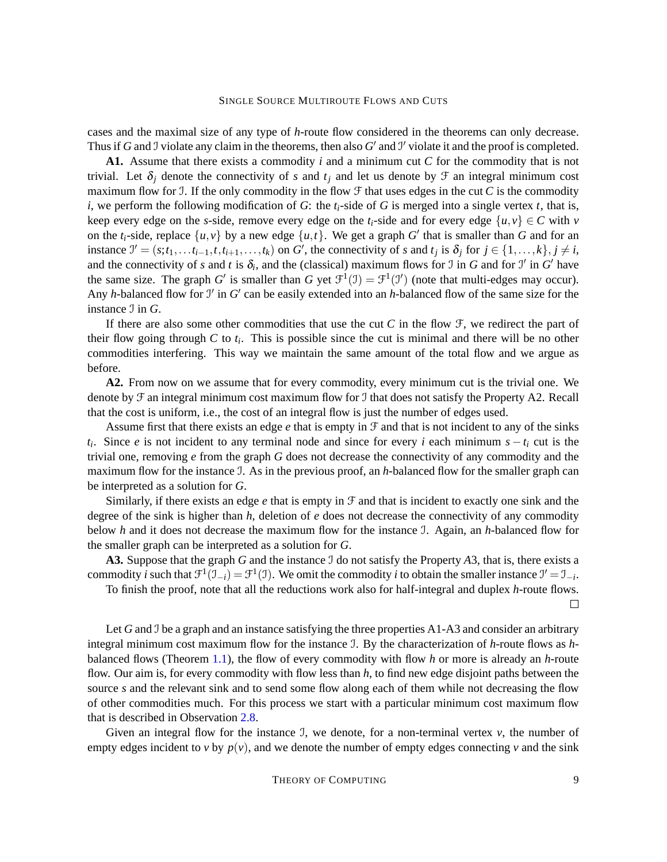cases and the maximal size of any type of *h*-route flow considered in the theorems can only decrease. Thus if *G* and *J* violate any claim in the theorems, then also  $G'$  and  $J'$  violate it and the proof is completed.

**A1.** Assume that there exists a commodity *i* and a minimum cut *C* for the commodity that is not trivial. Let  $\delta_i$  denote the connectivity of *s* and  $t_i$  and let us denote by  $\mathcal F$  an integral minimum cost maximum flow for J. If the only commodity in the flow  $\mathcal F$  that uses edges in the cut  $C$  is the commodity *i*, we perform the following modification of *G*: the  $t_i$ -side of *G* is merged into a single vertex *t*, that is, keep every edge on the *s*-side, remove every edge on the  $t_i$ -side and for every edge  $\{u, v\} \in C$  with *v* on the  $t_i$ -side, replace  $\{u, v\}$  by a new edge  $\{u, t\}$ . We get a graph *G*<sup>'</sup> that is smaller than *G* and for an instance  $J' = (s; t_1, \ldots, t_{i-1}, t, t_{i+1}, \ldots, t_k)$  on G', the connectivity of s and  $t_j$  is  $\delta_j$  for  $j \in \{1, \ldots, k\}, j \neq i$ , and the connectivity of *s* and *t* is  $\delta_i$ , and the (classical) maximum flows for J in *G* and for J' in G' have the same size. The graph *G*' is smaller than *G* yet  $\mathcal{F}^1(\mathcal{I}) = \mathcal{F}^1(\mathcal{I}')$  (note that multi-edges may occur). Any *h*-balanced flow for  $\mathcal{I}'$  in  $G'$  can be easily extended into an *h*-balanced flow of the same size for the instance I in *G*.

If there are also some other commodities that use the cut  $C$  in the flow  $\mathcal{F}$ , we redirect the part of their flow going through  $C$  to  $t_i$ . This is possible since the cut is minimal and there will be no other commodities interfering. This way we maintain the same amount of the total flow and we argue as before.

**A2.** From now on we assume that for every commodity, every minimum cut is the trivial one. We denote by F an integral minimum cost maximum flow for I that does not satisfy the Property A2. Recall that the cost is uniform, i.e., the cost of an integral flow is just the number of edges used.

Assume first that there exists an edge *e* that is empty in F and that is not incident to any of the sinks  $t_i$ . Since *e* is not incident to any terminal node and since for every *i* each minimum  $s - t_i$  cut is the trivial one, removing *e* from the graph *G* does not decrease the connectivity of any commodity and the maximum flow for the instance I. As in the previous proof, an *h*-balanced flow for the smaller graph can be interpreted as a solution for *G*.

Similarly, if there exists an edge  $e$  that is empty in  $\mathcal F$  and that is incident to exactly one sink and the degree of the sink is higher than *h*, deletion of *e* does not decrease the connectivity of any commodity below *h* and it does not decrease the maximum flow for the instance I. Again, an *h*-balanced flow for the smaller graph can be interpreted as a solution for *G*.

**A3.** Suppose that the graph *G* and the instance I do not satisfy the Property *A*3, that is, there exists a commodity *i* such that  $\mathcal{F}^1(\mathcal{I}_{-i}) = \mathcal{F}^1(\mathcal{I})$ . We omit the commodity *i* to obtain the smaller instance  $\mathcal{I}' = \mathcal{I}_{-i}$ .

To finish the proof, note that all the reductions work also for half-integral and duplex *h*-route flows.  $\Box$ 

Let *G* and *J* be a graph and an instance satisfying the three properties A1-A3 and consider an arbitrary integral minimum cost maximum flow for the instance I. By the characterization of *h*-route flows as *h*balanced flows (Theorem [1.1\)](#page-3-0), the flow of every commodity with flow *h* or more is already an *h*-route flow. Our aim is, for every commodity with flow less than *h*, to find new edge disjoint paths between the source *s* and the relevant sink and to send some flow along each of them while not decreasing the flow of other commodities much. For this process we start with a particular minimum cost maximum flow that is described in Observation [2.8.](#page-9-0)

Given an integral flow for the instance J, we denote, for a non-terminal vertex  $v$ , the number of empty edges incident to *v* by  $p(v)$ , and we denote the number of empty edges connecting *v* and the sink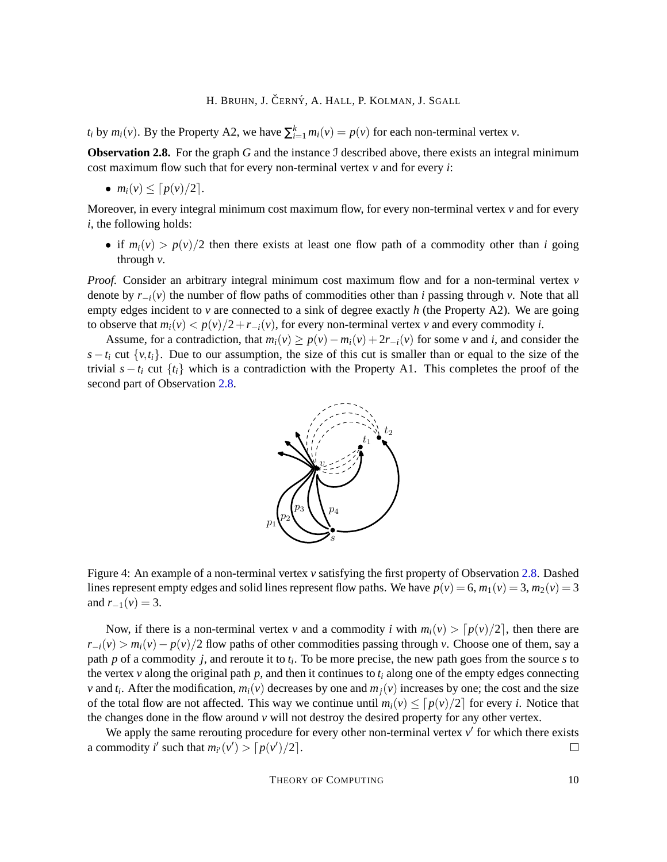*t*<sub>*i*</sub> by *m*<sub>*i*</sub>(*v*). By the Property A2, we have  $\sum_{i=1}^{k} m_i(v) = p(v)$  for each non-terminal vertex *v*.

<span id="page-9-0"></span>**Observation 2.8.** For the graph G and the instance J described above, there exists an integral minimum cost maximum flow such that for every non-terminal vertex *v* and for every *i*:

$$
\bullet \ \ m_i(v) \leq \lceil p(v)/2 \rceil.
$$

Moreover, in every integral minimum cost maximum flow, for every non-terminal vertex *v* and for every *i*, the following holds:

• if  $m_i(v) > p(v)/2$  then there exists at least one flow path of a commodity other than *i* going through *v*.

*Proof.* Consider an arbitrary integral minimum cost maximum flow and for a non-terminal vertex *v* denote by  $r_{-i}(v)$  the number of flow paths of commodities other than *i* passing through *v*. Note that all empty edges incident to *v* are connected to a sink of degree exactly *h* (the Property A2). We are going to observe that  $m_i(v) < p(v)/2 + r_{-i}(v)$ , for every non-terminal vertex *v* and every commodity *i*.

Assume, for a contradiction, that  $m_i(v) \ge p(v) - m_i(v) + 2r_{-i}(v)$  for some *v* and *i*, and consider the  $s - t_i$  cut  $\{v, t_i\}$ . Due to our assumption, the size of this cut is smaller than or equal to the size of the trivial  $s - t_i$  cut  $\{t_i\}$  which is a contradiction with the Property A1. This completes the proof of the second part of Observation [2.8.](#page-9-0)



Figure 4: An example of a non-terminal vertex *v* satisfying the first property of Observation [2.8.](#page-9-0) Dashed lines represent empty edges and solid lines represent flow paths. We have  $p(v) = 6$ ,  $m_1(v) = 3$ ,  $m_2(v) = 3$ and  $r_{-1}(v) = 3$ .

Now, if there is a non-terminal vertex *v* and a commodity *i* with  $m_i(v) > [p(v)/2]$ , then there are  $r_{-i}(v) > m_i(v) - p(v)/2$  flow paths of other commodities passing through *v*. Choose one of them, say a path *p* of a commodity *j*, and reroute it to *t<sup>i</sup>* . To be more precise, the new path goes from the source *s* to the vertex  $v$  along the original path  $p$ , and then it continues to  $t_i$  along one of the empty edges connecting *v* and  $t_i$ . After the modification,  $m_i(v)$  decreases by one and  $m_j(v)$  increases by one; the cost and the size of the total flow are not affected. This way we continue until  $m_i(v) \leq [p(v)/2]$  for every *i*. Notice that the changes done in the flow around  $\nu$  will not destroy the desired property for any other vertex.

We apply the same rerouting procedure for every other non-terminal vertex  $v'$  for which there exists a commodity *i*' such that  $m_{i'}(v') > \lceil p(v')/2 \rceil$ .  $\Box$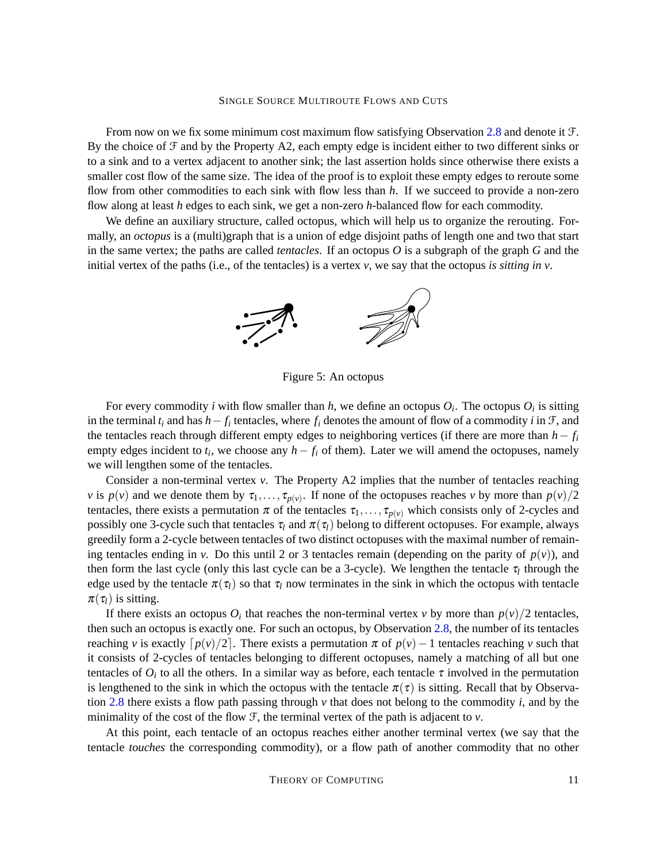From now on we fix some minimum cost maximum flow satisfying Observation [2.8](#page-9-0) and denote it  $\mathcal{F}$ . By the choice of F and by the Property A2, each empty edge is incident either to two different sinks or to a sink and to a vertex adjacent to another sink; the last assertion holds since otherwise there exists a smaller cost flow of the same size. The idea of the proof is to exploit these empty edges to reroute some flow from other commodities to each sink with flow less than *h*. If we succeed to provide a non-zero flow along at least *h* edges to each sink, we get a non-zero *h*-balanced flow for each commodity.

We define an auxiliary structure, called octopus, which will help us to organize the rerouting. Formally, an *octopus* is a (multi)graph that is a union of edge disjoint paths of length one and two that start in the same vertex; the paths are called *tentacles*. If an octopus *O* is a subgraph of the graph *G* and the initial vertex of the paths (i.e., of the tentacles) is a vertex *v*, we say that the octopus *is sitting in v*.



Figure 5: An octopus

For every commodity *i* with flow smaller than *h*, we define an octopus  $O_i$ . The octopus  $O_i$  is sitting in the terminal  $t_i$  and has  $h - f_i$  tentacles, where  $f_i$  denotes the amount of flow of a commodity  $i$  in  $\mathcal{F}$ , and the tentacles reach through different empty edges to neighboring vertices (if there are more than  $h - f_i$ empty edges incident to  $t_i$ , we choose any  $h - f_i$  of them). Later we will amend the octopuses, namely we will lengthen some of the tentacles.

Consider a non-terminal vertex *v*. The Property A2 implies that the number of tentacles reaching *v* is  $p(v)$  and we denote them by  $\tau_1, \ldots, \tau_{p(v)}$ . If none of the octopuses reaches *v* by more than  $p(v)/2$ tentacles, there exists a permutation  $\pi$  of the tentacles  $\tau_1, \ldots, \tau_{p(v)}$  which consists only of 2-cycles and possibly one 3-cycle such that tentacles  $\tau_l$  and  $\pi(\tau_l)$  belong to different octopuses. For example, always greedily form a 2-cycle between tentacles of two distinct octopuses with the maximal number of remaining tentacles ending in *v*. Do this until 2 or 3 tentacles remain (depending on the parity of  $p(v)$ ), and then form the last cycle (only this last cycle can be a 3-cycle). We lengthen the tentacle  $\tau_l$  through the edge used by the tentacle  $\pi(\tau_l)$  so that  $\tau_l$  now terminates in the sink in which the octopus with tentacle  $\pi(\tau_l)$  is sitting.

If there exists an octopus  $O_i$  that reaches the non-terminal vertex *v* by more than  $p(v)/2$  tentacles, then such an octopus is exactly one. For such an octopus, by Observation [2.8,](#page-9-0) the number of its tentacles reaching *v* is exactly  $\lceil p(v)/2 \rceil$ . There exists a permutation  $\pi$  of  $p(v)-1$  tentacles reaching *v* such that it consists of 2-cycles of tentacles belonging to different octopuses, namely a matching of all but one tentacles of  $O_i$  to all the others. In a similar way as before, each tentacle  $\tau$  involved in the permutation is lengthened to the sink in which the octopus with the tentacle  $\pi(\tau)$  is sitting. Recall that by Observation [2.8](#page-9-0) there exists a flow path passing through *v* that does not belong to the commodity *i*, and by the minimality of the cost of the flow  $\mathcal{F}$ , the terminal vertex of the path is adjacent to  $v$ .

At this point, each tentacle of an octopus reaches either another terminal vertex (we say that the tentacle *touches* the corresponding commodity), or a flow path of another commodity that no other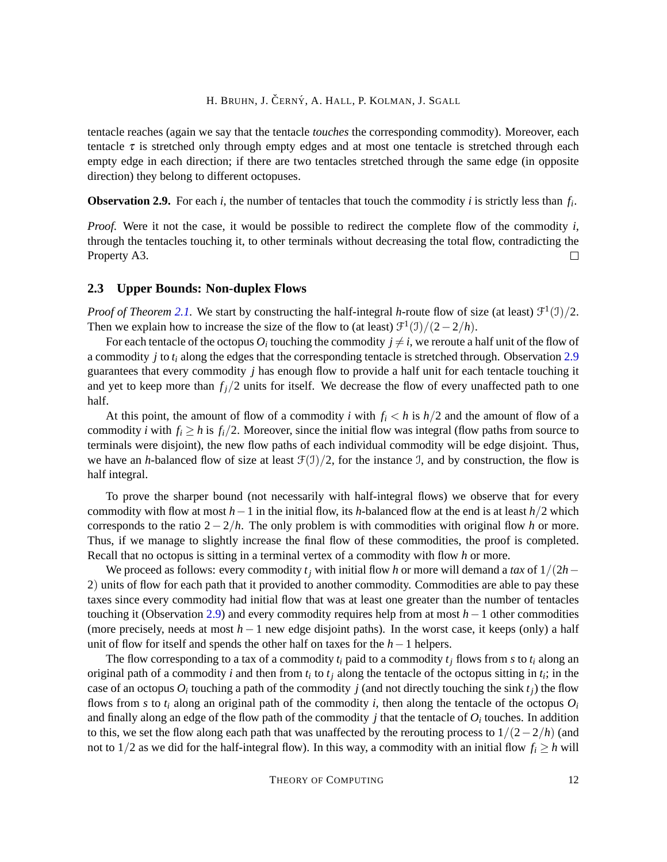tentacle reaches (again we say that the tentacle *touches* the corresponding commodity). Moreover, each tentacle  $\tau$  is stretched only through empty edges and at most one tentacle is stretched through each empty edge in each direction; if there are two tentacles stretched through the same edge (in opposite direction) they belong to different octopuses.

<span id="page-11-1"></span>**Observation 2.9.** For each *i*, the number of tentacles that touch the commodity *i* is strictly less than *f<sup>i</sup>* .

*Proof.* Were it not the case, it would be possible to redirect the complete flow of the commodity *i*, through the tentacles touching it, to other terminals without decreasing the total flow, contradicting the Property A3.  $\Box$ 

## <span id="page-11-0"></span>**2.3 Upper Bounds: Non-duplex Flows**

*Proof of Theorem [2.1.](#page-4-1)* We start by constructing the half-integral *h*-route flow of size (at least)  $\mathcal{F}^1(\mathcal{I})/2$ . Then we explain how to increase the size of the flow to (at least)  $\mathcal{F}^1(\mathcal{I})/(\mathcal{2}-\mathcal{2}/h)$ .

For each tentacle of the octopus  $O_i$  touching the commodity  $j \neq i$ , we reroute a half unit of the flow of a commodity *j* to *t<sup>i</sup>* along the edges that the corresponding tentacle is stretched through. Observation [2.9](#page-11-1) guarantees that every commodity *j* has enough flow to provide a half unit for each tentacle touching it and yet to keep more than  $f_j/2$  units for itself. We decrease the flow of every unaffected path to one half.

At this point, the amount of flow of a commodity *i* with  $f_i < h$  is  $h/2$  and the amount of flow of a commodity *i* with  $f_i \geq h$  is  $f_i/2$ . Moreover, since the initial flow was integral (flow paths from source to terminals were disjoint), the new flow paths of each individual commodity will be edge disjoint. Thus, we have an *h*-balanced flow of size at least  $\mathcal{F}(1)/2$ , for the instance I, and by construction, the flow is half integral.

To prove the sharper bound (not necessarily with half-integral flows) we observe that for every commodity with flow at most *h*−1 in the initial flow, its *h*-balanced flow at the end is at least *h*/2 which corresponds to the ratio 2−2/*h*. The only problem is with commodities with original flow *h* or more. Thus, if we manage to slightly increase the final flow of these commodities, the proof is completed. Recall that no octopus is sitting in a terminal vertex of a commodity with flow *h* or more.

We proceed as follows: every commodity  $t_j$  with initial flow *h* or more will demand a *tax* of  $1/(2h-$ 2) units of flow for each path that it provided to another commodity. Commodities are able to pay these taxes since every commodity had initial flow that was at least one greater than the number of tentacles touching it (Observation [2.9\)](#page-11-1) and every commodity requires help from at most *h*−1 other commodities (more precisely, needs at most *h*−1 new edge disjoint paths). In the worst case, it keeps (only) a half unit of flow for itself and spends the other half on taxes for the *h*−1 helpers.

The flow corresponding to a tax of a commodity  $t_i$  paid to a commodity  $t_i$  flows from  $s$  to  $t_i$  along an original path of a commodity *i* and then from  $t_i$  to  $t_j$  along the tentacle of the octopus sitting in  $t_i$ ; in the case of an octopus  $O_i$  touching a path of the commodity *j* (and not directly touching the sink  $t_j$ ) the flow flows from *s* to  $t_i$  along an original path of the commodity *i*, then along the tentacle of the octopus  $O_i$ and finally along an edge of the flow path of the commodity  $j$  that the tentacle of  $O_i$  touches. In addition to this, we set the flow along each path that was unaffected by the rerouting process to  $1/(2-2/h)$  (and not to  $1/2$  as we did for the half-integral flow). In this way, a commodity with an initial flow  $f_i \geq h$  will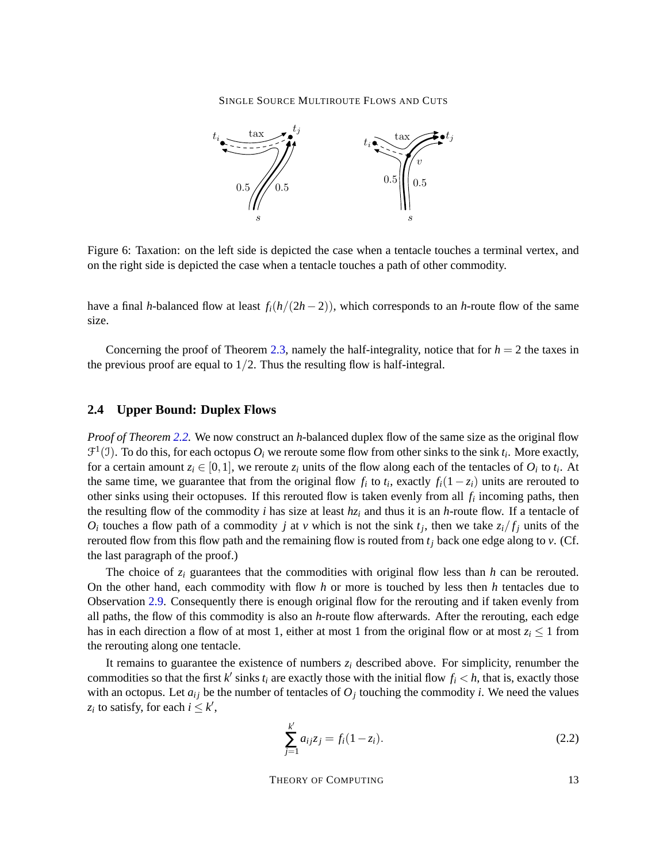

Figure 6: Taxation: on the left side is depicted the case when a tentacle touches a terminal vertex, and on the right side is depicted the case when a tentacle touches a path of other commodity.

have a final *h*-balanced flow at least  $f_i(h/(2h-2))$ , which corresponds to an *h*-route flow of the same size.

Concerning the proof of Theorem [2.3,](#page-5-2) namely the half-integrality, notice that for  $h = 2$  the taxes in the previous proof are equal to  $1/2$ . Thus the resulting flow is half-integral.

## <span id="page-12-0"></span>**2.4 Upper Bound: Duplex Flows**

*Proof of Theorem [2.2.](#page-4-0)* We now construct an *h*-balanced duplex flow of the same size as the original flow  $\mathcal{F}^1(\mathcal{I})$ . To do this, for each octopus  $O_i$  we reroute some flow from other sinks to the sink  $t_i$ . More exactly, for a certain amount  $z_i \in [0,1]$ , we reroute  $z_i$  units of the flow along each of the tentacles of  $O_i$  to  $t_i$ . At the same time, we guarantee that from the original flow  $f_i$  to  $t_i$ , exactly  $f_i(1-z_i)$  units are rerouted to other sinks using their octopuses. If this rerouted flow is taken evenly from all *f<sup>i</sup>* incoming paths, then the resulting flow of the commodity *i* has size at least  $hz_i$  and thus it is an *h*-route flow. If a tentacle of  $O_i$  touches a flow path of a commodity *j* at *v* which is not the sink  $t_j$ , then we take  $z_i/f_j$  units of the rerouted flow from this flow path and the remaining flow is routed from  $t_j$  back one edge along to  $v$ . (Cf. the last paragraph of the proof.)

The choice of  $z_i$  guarantees that the commodities with original flow less than  $h$  can be rerouted. On the other hand, each commodity with flow *h* or more is touched by less then *h* tentacles due to Observation [2.9.](#page-11-1) Consequently there is enough original flow for the rerouting and if taken evenly from all paths, the flow of this commodity is also an *h*-route flow afterwards. After the rerouting, each edge has in each direction a flow of at most 1, either at most 1 from the original flow or at most  $z_i \leq 1$  from the rerouting along one tentacle.

It remains to guarantee the existence of numbers  $z_i$  described above. For simplicity, renumber the commodities so that the first  $k'$  sinks  $t_i$  are exactly those with the initial flow  $f_i < h$ , that is, exactly those with an octopus. Let  $a_{ij}$  be the number of tentacles of  $O_j$  touching the commodity *i*. We need the values  $z_i$  to satisfy, for each  $i \leq k'$ ,

$$
\sum_{j=1}^{k'} a_{ij} z_j = f_i (1 - z_i). \tag{2.2}
$$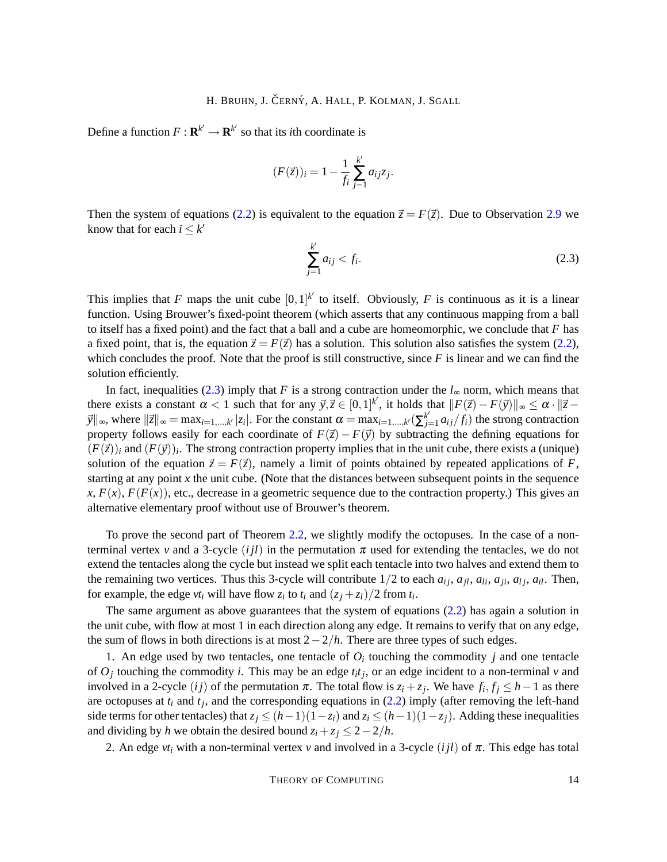Define a function  $F: \mathbf{R}^{k'} \to \mathbf{R}^{k'}$  so that its *i*th coordinate is

$$
(F(\vec{z}))_i = 1 - \frac{1}{f_i} \sum_{j=1}^{k'} a_{ij} z_j.
$$

Then the system of equations [\(2.2\)](#page-6-1) is equivalent to the equation  $\vec{z} = F(\vec{z})$ . Due to Observation [2.9](#page-11-1) we know that for each  $i \leq k'$ 

<span id="page-13-0"></span>
$$
\sum_{j=1}^{k'} a_{ij} < f_i. \tag{2.3}
$$

This implies that *F* maps the unit cube  $[0,1]^{k'}$  to itself. Obviously, *F* is continuous as it is a linear function. Using Brouwer's fixed-point theorem (which asserts that any continuous mapping from a ball to itself has a fixed point) and the fact that a ball and a cube are homeomorphic, we conclude that *F* has a fixed point, that is, the equation  $\vec{z} = F(\vec{z})$  has a solution. This solution also satisfies the system [\(2.2\)](#page-6-1), which concludes the proof. Note that the proof is still constructive, since  $F$  is linear and we can find the solution efficiently.

In fact, inequalities [\(2.3\)](#page-13-0) imply that *F* is a strong contraction under the  $l_{\infty}$  norm, which means that there exists a constant  $\alpha < 1$  such that for any  $\vec{y}, \vec{z} \in [0,1]^k$ , it holds that  $||F(\vec{z}) - F(\vec{y})||_{\infty} \le \alpha \cdot ||\vec{z} - \vec{z}|$  $\vec{y}$ <sup>*x*</sup><sub>i</sub>  $\infty$ , where  $\|\vec{z}\|_{\infty} = \max_{i=1,\dots,k'} |z_i|$ . For the constant  $\alpha = \max_{i=1,\dots,k'} (\sum_{i=1}^{k'} z_i)^2$  $g_{j=1}^{k} a_{ij} / f_i$  the strong contraction property follows easily for each coordinate of  $F(\vec{z}) - F(\vec{y})$  by subtracting the defining equations for  $(F(\vec{z}))_i$  and  $(F(\vec{y}))_i$ . The strong contraction property implies that in the unit cube, there exists a (unique) solution of the equation  $\vec{z} = F(\vec{z})$ , namely a limit of points obtained by repeated applications of *F*, starting at any point *x* the unit cube. (Note that the distances between subsequent points in the sequence  $x, F(x), F(F(x))$ , etc., decrease in a geometric sequence due to the contraction property.) This gives an alternative elementary proof without use of Brouwer's theorem.

To prove the second part of Theorem [2.2,](#page-4-0) we slightly modify the octopuses. In the case of a nonterminal vertex *v* and a 3-cycle  $(ijl)$  in the permutation  $\pi$  used for extending the tentacles, we do not extend the tentacles along the cycle but instead we split each tentacle into two halves and extend them to the remaining two vertices. Thus this 3-cycle will contribute  $1/2$  to each  $a_{ij}$ ,  $a_{jl}$ ,  $a_{li}$ ,  $a_{li}$ ,  $a_{il}$ . Then, for example, the edge  $vt_i$  will have flow  $z_i$  to  $t_i$  and  $(z_j + z_l)/2$  from  $t_i$ .

The same argument as above guarantees that the system of equations [\(2.2\)](#page-6-1) has again a solution in the unit cube, with flow at most 1 in each direction along any edge. It remains to verify that on any edge, the sum of flows in both directions is at most 2−2/*h*. There are three types of such edges.

1. An edge used by two tentacles, one tentacle of  $O_i$  touching the commodity  $j$  and one tentacle of  $O_j$  touching the commodity *i*. This may be an edge  $t_i t_j$ , or an edge incident to a non-terminal *v* and involved in a 2-cycle  $(ij)$  of the permutation  $\pi$ . The total flow is  $z_i + z_j$ . We have  $f_i, f_j \leq h - 1$  as there are octopuses at *t<sup>i</sup>* and *t<sup>j</sup>* , and the corresponding equations in [\(2.2\)](#page-6-1) imply (after removing the left-hand side terms for other tentacles) that  $z_j \leq (h-1)(1-z_i)$  and  $z_i \leq (h-1)(1-z_j)$ . Adding these inequalities and dividing by *h* we obtain the desired bound  $z_i + z_j \leq 2 - 2/h$ .

2. An edge  $vt_i$  with a non-terminal vertex v and involved in a 3-cycle (*ijl*) of  $\pi$ . This edge has total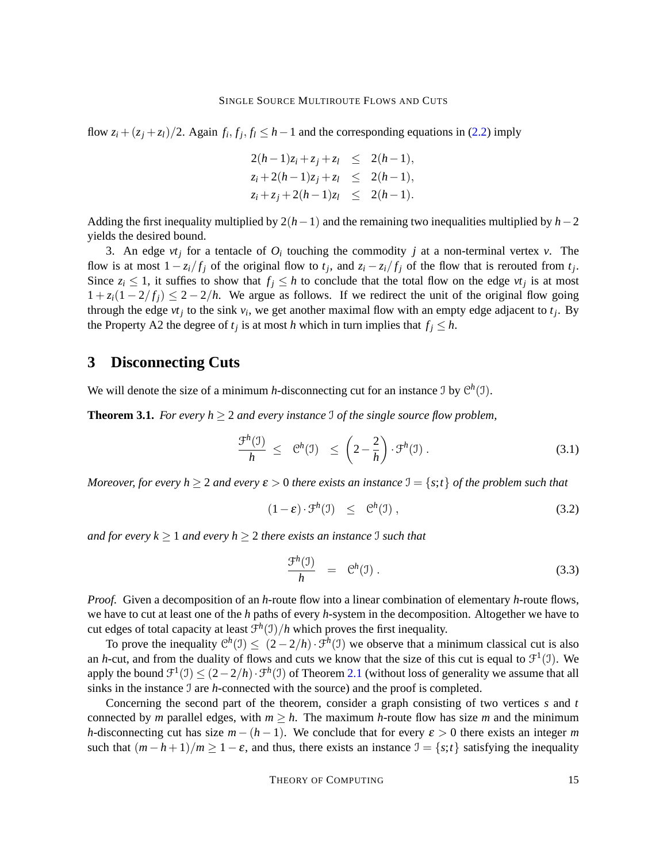flow  $z_i + (z_j + z_l)/2$ . Again  $f_i, f_j, f_l \leq h - 1$  and the corresponding equations in [\(2.2\)](#page-6-1) imply

$$
2(h-1)z_i + z_j + z_l \leq 2(h-1),
$$
  
\n
$$
z_i + 2(h-1)z_j + z_l \leq 2(h-1),
$$
  
\n
$$
z_i + z_j + 2(h-1)z_l \leq 2(h-1).
$$

Adding the first inequality multiplied by 2(*h*−1) and the remaining two inequalities multiplied by *h*−2 yields the desired bound.

3. An edge  $vt_j$  for a tentacle of  $O_i$  touching the commodity *j* at a non-terminal vertex *v*. The flow is at most  $1 - z_i/f_j$  of the original flow to  $t_j$ , and  $z_i - z_i/f_j$  of the flow that is rerouted from  $t_j$ . Since  $z_i \leq 1$ , it suffies to show that  $f_j \leq h$  to conclude that the total flow on the edge  $vt_j$  is at most  $1 + z_i(1 - 2/f_i) \leq 2 - 2/h$ . We argue as follows. If we redirect the unit of the original flow going through the edge  $vt_j$  to the sink  $v_i$ , we get another maximal flow with an empty edge adjacent to  $t_j$ . By the Property A2 the degree of  $t_j$  is at most *h* which in turn implies that  $f_j \leq h$ .

## **3 Disconnecting Cuts**

We will denote the size of a minimum *h*-disconnecting cut for an instance  $\mathcal{I}$  by  $\mathcal{C}^h(\mathcal{I})$ .

**Theorem 3.1.** *For every h*  $\geq$  2 *and every instance* I *of the single source flow problem,* 

<span id="page-14-1"></span>
$$
\frac{\mathcal{F}^h(\mathfrak{I})}{h} \leq \mathfrak{C}^h(\mathfrak{I}) \leq \left(2 - \frac{2}{h}\right) \cdot \mathfrak{F}^h(\mathfrak{I}). \tag{3.1}
$$

*Moreover, for every h*  $\geq$  2 *and every*  $\varepsilon$   $>$  0 *there exists an instance*  $\mathcal{I} = \{s, t\}$  *of the problem such that* 

<span id="page-14-0"></span>
$$
(1 - \varepsilon) \cdot \mathcal{F}^h(\mathfrak{I}) \leq \mathcal{C}^h(\mathfrak{I}), \qquad (3.2)
$$

*and for every k*  $\geq 1$  *and every h*  $\geq 2$  *there exists an instance* I *such that* 

$$
\frac{\mathcal{F}^h(\mathfrak{I})}{h} = \mathfrak{C}^h(\mathfrak{I}). \tag{3.3}
$$

*Proof.* Given a decomposition of an *h*-route flow into a linear combination of elementary *h*-route flows, we have to cut at least one of the *h* paths of every *h*-system in the decomposition. Altogether we have to cut edges of total capacity at least  $f^h(1)/h$  which proves the first inequality.

To prove the inequality  $C^h(1) \leq (2 - 2/h) \cdot \mathcal{F}^h(1)$  we observe that a minimum classical cut is also an *h*-cut, and from the duality of flows and cuts we know that the size of this cut is equal to  $\mathcal{F}^1(\mathcal{I})$ . We apply the bound  $\mathcal{F}^1(\mathcal{I}) \leq (2-2/h) \cdot \mathcal{F}^h(\mathcal{I})$  of Theorem [2.1](#page-4-1) (without loss of generality we assume that all sinks in the instance I are *h*-connected with the source) and the proof is completed.

Concerning the second part of the theorem, consider a graph consisting of two vertices *s* and *t* connected by *m* parallel edges, with  $m \geq h$ . The maximum *h*-route flow has size *m* and the minimum *h*-disconnecting cut has size  $m - (h - 1)$ . We conclude that for every  $\varepsilon > 0$  there exists an integer *m* such that  $(m - h + 1)/m \ge 1 - \varepsilon$ , and thus, there exists an instance  $\mathcal{I} = \{s; t\}$  satisfying the inequality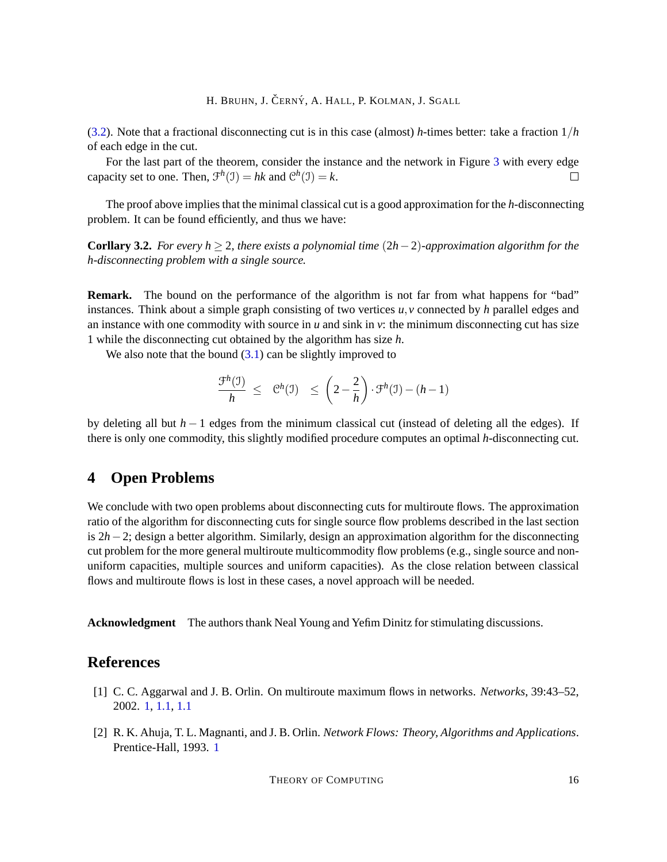[\(3.2\)](#page-14-0). Note that a fractional disconnecting cut is in this case (almost) *h*-times better: take a fraction 1/*h* of each edge in the cut.

For the last part of the theorem, consider the instance and the network in Figure [3](#page-7-1) with every edge capacity set to one. Then,  $\mathcal{F}^h(\mathcal{I}) = hk$  and  $\mathcal{C}^h(\mathcal{I}) = k$ .  $\Box$ 

The proof above implies that the minimal classical cut is a good approximation for the *h*-disconnecting problem. It can be found efficiently, and thus we have:

**Corllary 3.2.** *For every h* ≥ 2*, there exists a polynomial time* (2*h*−2)*-approximation algorithm for the h-disconnecting problem with a single source.*

**Remark.** The bound on the performance of the algorithm is not far from what happens for "bad" instances. Think about a simple graph consisting of two vertices *u*,*v* connected by *h* parallel edges and an instance with one commodity with source in  $u$  and sink in  $v$ : the minimum disconnecting cut has size 1 while the disconnecting cut obtained by the algorithm has size *h*.

We also note that the bound  $(3.1)$  can be slightly improved to

$$
\frac{\mathcal{F}^h(\mathfrak{I})}{h} \leq \mathfrak{C}^h(\mathfrak{I}) \leq \left(2 - \frac{2}{h}\right) \cdot \mathfrak{F}^h(\mathfrak{I}) - (h-1)
$$

by deleting all but *h* − 1 edges from the minimum classical cut (instead of deleting all the edges). If there is only one commodity, this slightly modified procedure computes an optimal *h*-disconnecting cut.

# **4 Open Problems**

We conclude with two open problems about disconnecting cuts for multiroute flows. The approximation ratio of the algorithm for disconnecting cuts for single source flow problems described in the last section is 2*h*−2; design a better algorithm. Similarly, design an approximation algorithm for the disconnecting cut problem for the more general multiroute multicommodity flow problems (e.g., single source and nonuniform capacities, multiple sources and uniform capacities). As the close relation between classical flows and multiroute flows is lost in these cases, a novel approach will be needed.

**Acknowledgment** The authors thank Neal Young and Yefim Dinitz for stimulating discussions.

# **References**

- <span id="page-15-1"></span>[1] C. C. Aggarwal and J. B. Orlin. On multiroute maximum flows in networks. *Networks*, 39:43–52, 2002. [1,](#page-1-0) [1.1,](#page-2-0) [1.1](#page-3-0)
- <span id="page-15-0"></span>[2] R. K. Ahuja, T. L. Magnanti, and J. B. Orlin. *Network Flows: Theory, Algorithms and Applications*. Prentice-Hall, 1993. [1](#page-1-0)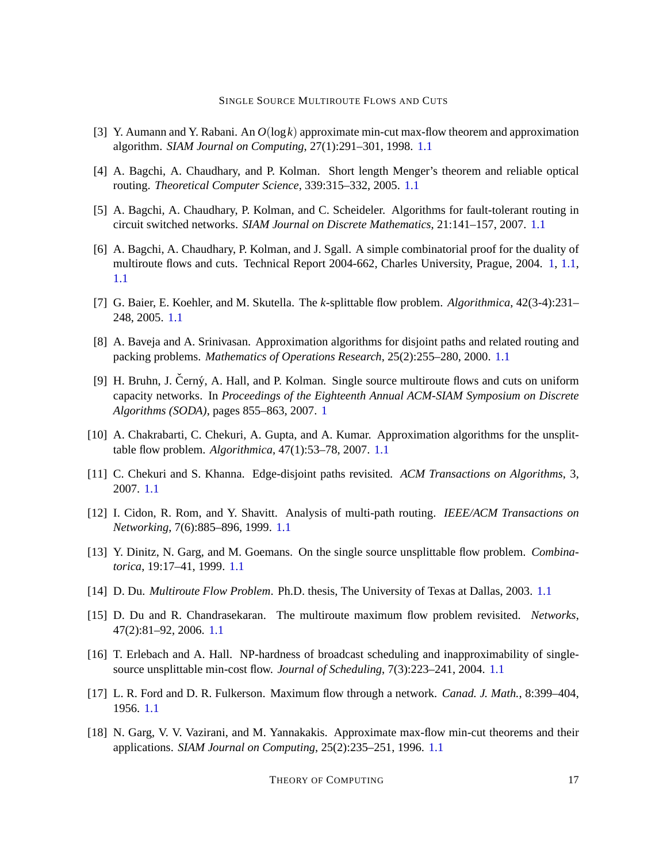- <span id="page-16-14"></span>[3] Y. Aumann and Y. Rabani. An *O*(log*k*) approximate min-cut max-flow theorem and approximation algorithm. *SIAM Journal on Computing*, 27(1):291–301, 1998. [1.1](#page-2-0)
- <span id="page-16-4"></span>[4] A. Bagchi, A. Chaudhary, and P. Kolman. Short length Menger's theorem and reliable optical routing. *Theoretical Computer Science*, 339:315–332, 2005. [1.1](#page-2-0)
- <span id="page-16-5"></span>[5] A. Bagchi, A. Chaudhary, P. Kolman, and C. Scheideler. Algorithms for fault-tolerant routing in circuit switched networks. *SIAM Journal on Discrete Mathematics*, 21:141–157, 2007. [1.1](#page-2-0)
- <span id="page-16-0"></span>[6] A. Bagchi, A. Chaudhary, P. Kolman, and J. Sgall. A simple combinatorial proof for the duality of multiroute flows and cuts. Technical Report 2004-662, Charles University, Prague, 2004. [1,](#page-1-0) [1.1,](#page-2-0) [1.1](#page-3-0)
- <span id="page-16-10"></span>[7] G. Baier, E. Koehler, and M. Skutella. The *k*-splittable flow problem. *Algorithmica*, 42(3-4):231– 248, 2005. [1.1](#page-2-0)
- <span id="page-16-7"></span>[8] A. Baveja and A. Srinivasan. Approximation algorithms for disjoint paths and related routing and packing problems. *Mathematics of Operations Research*, 25(2):255–280, 2000. [1.1](#page-2-0)
- <span id="page-16-1"></span>[9] H. Bruhn, J. Cerný, A. Hall, and P. Kolman. Single source multiroute flows and cuts on uniform capacity networks. In *Proceedings of the Eighteenth Annual ACM-SIAM Symposium on Discrete Algorithms (SODA)*, pages 855–863, 2007. [1](#page-1-0)
- <span id="page-16-8"></span>[10] A. Chakrabarti, C. Chekuri, A. Gupta, and A. Kumar. Approximation algorithms for the unsplittable flow problem. *Algorithmica*, 47(1):53–78, 2007. [1.1](#page-2-0)
- <span id="page-16-9"></span>[11] C. Chekuri and S. Khanna. Edge-disjoint paths revisited. *ACM Transactions on Algorithms*, 3, 2007. [1.1](#page-2-0)
- <span id="page-16-6"></span>[12] I. Cidon, R. Rom, and Y. Shavitt. Analysis of multi-path routing. *IEEE/ACM Transactions on Networking*, 7(6):885–896, 1999. [1.1](#page-2-0)
- <span id="page-16-11"></span>[13] Y. Dinitz, N. Garg, and M. Goemans. On the single source unsplittable flow problem. *Combinatorica*, 19:17–41, 1999. [1.1](#page-2-0)
- <span id="page-16-2"></span>[14] D. Du. *Multiroute Flow Problem*. Ph.D. thesis, The University of Texas at Dallas, 2003. [1.1](#page-2-0)
- <span id="page-16-3"></span>[15] D. Du and R. Chandrasekaran. The multiroute maximum flow problem revisited. *Networks*, 47(2):81–92, 2006. [1.1](#page-2-0)
- <span id="page-16-12"></span>[16] T. Erlebach and A. Hall. NP-hardness of broadcast scheduling and inapproximability of singlesource unsplittable min-cost flow. *Journal of Scheduling*, 7(3):223–241, 2004. [1.1](#page-2-0)
- <span id="page-16-13"></span>[17] L. R. Ford and D. R. Fulkerson. Maximum flow through a network. *Canad. J. Math.*, 8:399–404, 1956. [1.1](#page-2-0)
- <span id="page-16-15"></span>[18] N. Garg, V. V. Vazirani, and M. Yannakakis. Approximate max-flow min-cut theorems and their applications. *SIAM Journal on Computing*, 25(2):235–251, 1996. [1.1](#page-2-0)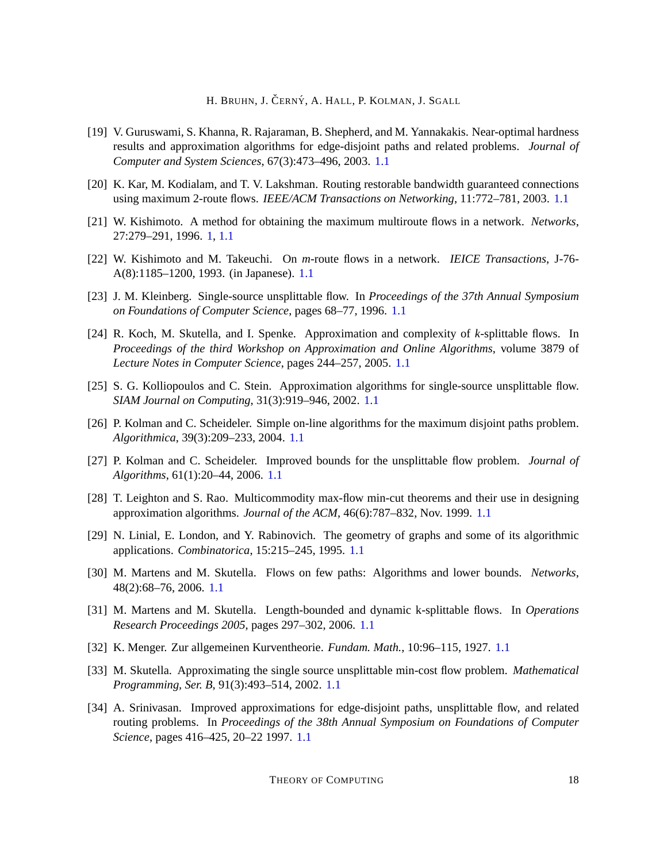- <span id="page-17-3"></span>[19] V. Guruswami, S. Khanna, R. Rajaraman, B. Shepherd, and M. Yannakakis. Near-optimal hardness results and approximation algorithms for edge-disjoint paths and related problems. *Journal of Computer and System Sciences*, 67(3):473–496, 2003. [1.1](#page-2-0)
- <span id="page-17-2"></span>[20] K. Kar, M. Kodialam, and T. V. Lakshman. Routing restorable bandwidth guaranteed connections using maximum 2-route flows. *IEEE/ACM Transactions on Networking*, 11:772–781, 2003. [1.1](#page-2-0)
- <span id="page-17-0"></span>[21] W. Kishimoto. A method for obtaining the maximum multiroute flows in a network. *Networks*, 27:279–291, 1996. [1,](#page-1-0) [1.1](#page-3-0)
- <span id="page-17-1"></span>[22] W. Kishimoto and M. Takeuchi. On *m*-route flows in a network. *IEICE Transactions*, J-76- A(8):1185–1200, 1993. (in Japanese). [1.1](#page-2-0)
- <span id="page-17-4"></span>[23] J. M. Kleinberg. Single-source unsplittable flow. In *Proceedings of the 37th Annual Symposium on Foundations of Computer Science*, pages 68–77, 1996. [1.1](#page-2-0)
- <span id="page-17-9"></span>[24] R. Koch, M. Skutella, and I. Spenke. Approximation and complexity of *k*-splittable flows. In *Proceedings of the third Workshop on Approximation and Online Algorithms*, volume 3879 of *Lecture Notes in Computer Science*, pages 244–257, 2005. [1.1](#page-2-0)
- <span id="page-17-5"></span>[25] S. G. Kolliopoulos and C. Stein. Approximation algorithms for single-source unsplittable flow. *SIAM Journal on Computing*, 31(3):919–946, 2002. [1.1](#page-2-0)
- <span id="page-17-7"></span>[26] P. Kolman and C. Scheideler. Simple on-line algorithms for the maximum disjoint paths problem. *Algorithmica*, 39(3):209–233, 2004. [1.1](#page-2-0)
- <span id="page-17-6"></span>[27] P. Kolman and C. Scheideler. Improved bounds for the unsplittable flow problem. *Journal of Algorithms*, 61(1):20–44, 2006. [1.1](#page-2-0)
- <span id="page-17-14"></span>[28] T. Leighton and S. Rao. Multicommodity max-flow min-cut theorems and their use in designing approximation algorithms. *Journal of the ACM*, 46(6):787–832, Nov. 1999. [1.1](#page-2-0)
- <span id="page-17-15"></span>[29] N. Linial, E. London, and Y. Rabinovich. The geometry of graphs and some of its algorithmic applications. *Combinatorica*, 15:215–245, 1995. [1.1](#page-2-0)
- <span id="page-17-11"></span>[30] M. Martens and M. Skutella. Flows on few paths: Algorithms and lower bounds. *Networks*, 48(2):68–76, 2006. [1.1](#page-2-0)
- <span id="page-17-10"></span>[31] M. Martens and M. Skutella. Length-bounded and dynamic k-splittable flows. In *Operations Research Proceedings 2005*, pages 297–302, 2006. [1.1](#page-2-0)
- <span id="page-17-13"></span>[32] K. Menger. Zur allgemeinen Kurventheorie. *Fundam. Math.*, 10:96–115, 1927. [1.1](#page-2-0)
- <span id="page-17-12"></span>[33] M. Skutella. Approximating the single source unsplittable min-cost flow problem. *Mathematical Programming, Ser. B*, 91(3):493–514, 2002. [1.1](#page-2-0)
- <span id="page-17-8"></span>[34] A. Srinivasan. Improved approximations for edge-disjoint paths, unsplittable flow, and related routing problems. In *Proceedings of the 38th Annual Symposium on Foundations of Computer Science*, pages 416–425, 20–22 1997. [1.1](#page-2-0)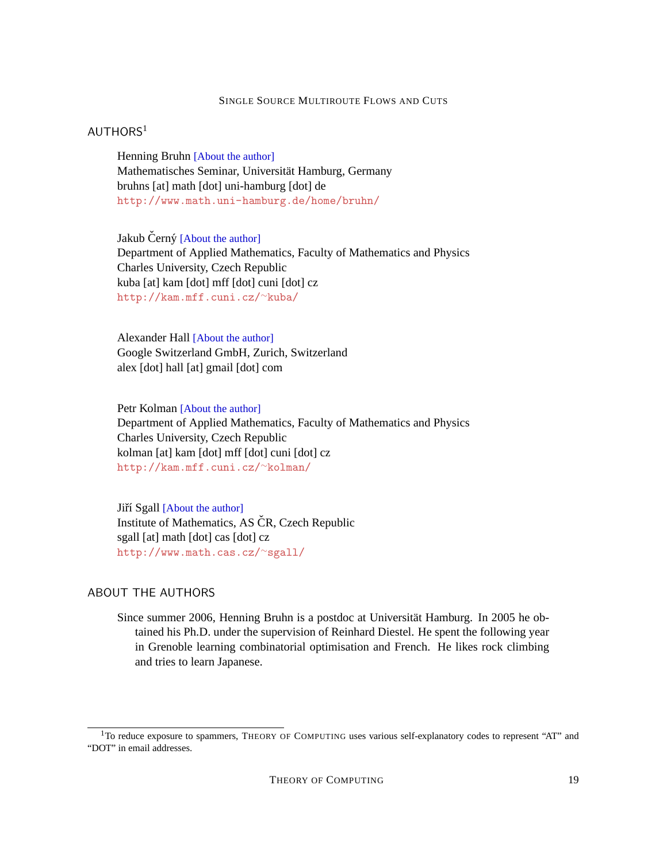# <span id="page-18-0"></span> $AUTHORS<sup>1</sup>$

Henning Bruhn [\[About the author\]](#page-18-5) Mathematisches Seminar, Universität Hamburg, Germany bruhns [at] math [dot] uni-hamburg [dot] de <http://www.math.uni-hamburg.de/home/bruhn/>

<span id="page-18-1"></span>Jakub Černý [\[About the author\]](#page-19-0) Department of Applied Mathematics, Faculty of Mathematics and Physics Charles University, Czech Republic kuba [at] kam [dot] mff [dot] cuni [dot] cz [http://kam.mff.cuni.cz/](http://kam.mff.cuni.cz/~kuba/)∼kuba/

<span id="page-18-2"></span>Alexander Hall [\[About the author\]](#page-19-1) Google Switzerland GmbH, Zurich, Switzerland alex [dot] hall [at] gmail [dot] com

<span id="page-18-3"></span>Petr Kolman [\[About the author\]](#page-19-2) Department of Applied Mathematics, Faculty of Mathematics and Physics Charles University, Czech Republic kolman [at] kam [dot] mff [dot] cuni [dot] cz [http://kam.mff.cuni.cz/](http://kam.mff.cuni.cz/~kolman/)∼kolman/

<span id="page-18-4"></span>Jiří Sgall [\[About the author\]](#page-19-3) Institute of Mathematics, AS ČR, Czech Republic sgall [at] math [dot] cas [dot] cz [http://www.math.cas.cz/](http://www.math.cas.cz/~sgall/)∼sgall/

## <span id="page-18-5"></span>ABOUT THE AUTHORS

Since summer 2006, Henning Bruhn is a postdoc at Universität Hamburg. In 2005 he obtained his Ph.D. under the supervision of Reinhard Diestel. He spent the following year in Grenoble learning combinatorial optimisation and French. He likes rock climbing and tries to learn Japanese.

<sup>&</sup>lt;sup>1</sup>To reduce exposure to spammers, THEORY OF COMPUTING uses various self-explanatory codes to represent "AT" and "DOT" in email addresses.